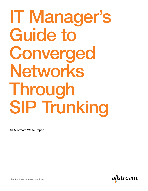# IT Manager's Guide to Converged Networks Through SIP Trunking

An Allstream White Paper

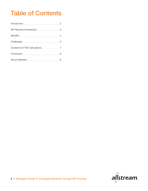# Table of Contents

| Benefits 4                                      |   |
|-------------------------------------------------|---|
|                                                 |   |
| Guidance for ROI Calculations <b>COVID-10</b> 2 |   |
|                                                 | 8 |
| About Allstream                                 | 8 |

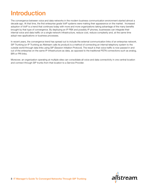# Introduction

The convergence between voice and data networks in the modern business communication environment started almost a decade ago. At that time, the first enterprise grade VoIP systems were making their appearance on the market. Increased adoption of VoIP is a trend that continues today with more and more organizations taking advantage of the many benefits brought by that type of convergence. By deploying an IP PBX and possibly IP phones, businesses can integrate their internal voice and data traffic on a single network infrastructure, reduce cost, reduce complexity and, at the same time adopt new applications or business processes.

In recent years, the convergence trend has spread out to include the external communication links of an enterprise network. SIP Trunking (or IP Trunking as Allstream calls its product) is a method of connecting an internal telephony system to the outside world through data links using SIP (Session Initiation Protocol). The result is that voice traffic is now passed in and out of the enterprise on the same IP infrastructure as data, as opposed to the traditional PSTN connections such as analog, BRI or PRI links.

Moreover, an organization operating at multiple sites can consolidate all voice and data connectivity in one central location and connect through SIP trunks from that location to a Service Provider.

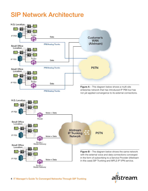# SIP Network Architecture



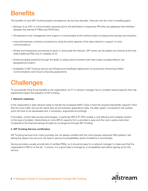# **Benefits**

The benefits of such SIP Trunking-based convergence can be truly dramatic. Here are only the most compelling gains:

- $\rightarrow$  Savings of up 40% in communication expense due to the elimination of expensive PRI links and gateways that interface between the internal IP PBXs and PSTN links.
- $\rightarrow$  All expensive trunk management and support is concentrated at the central location bringing extra savings and simplicity.
- $\rightarrow$  Improved business continuity provisions by using the extra capacity of the data network in support of voice communications.
- $\rightarrow$  Simple and inexpensive procedures to grow or downscale the network. SIP trunks can be added one channel at the time while traditional PRIs only in multiples of 23.
- $\rightarrow$  Enhanced global presence through the ability to adopt phone numbers with area codes corresponding to any geographical location.
- → Availability of SIP Trunking service and infrastructure facilitates deployment of productivity enhancing Unified Communications and Cloud Computing applications.

# **Challenges**

To successfully bring those benefits to the organization, an IT or network manager has to consider several aspects that may significantly impact the adoption of SIP trunking.

#### 1. Network readiness

Is the organization's data network ready to handle the increased traffic? Does it have the required bandwidth capacity? Now that the voice traffic will use the same links as the business applications data, the data "pipes" connected to the outside word will have to be reevaluated and, if necessary, augmented accordingly.

Fortunately, current data access technologies, in particular MPLS IP VPN, enable a cost effective and scalable solution to this type of problem. Subscribing to more MPLS capacity from a provider is easy and the cost is quite small when compared to the financial savings brought by convergence through SIP Trunking.

#### 2. SIP Trunking Service certification

SIP Trunking services from many providers are not always certified with the most popular enterprise PBX systems. Not taking this aspect into account can lead to serious incompatibilities and/or limitations in functionality.

Service providers usually provide lists of certified PBXs, so it should be easy for a network manager to make sure that the organization's PBX is on the list. If unsure, it is a good idea to arrange for a compatibility test before signing up for the service.

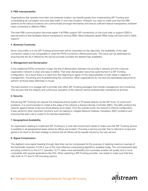#### 3. PBX Interoperability

Organizations that operate more than one business location can benefit greatly from implementing SIP Trunking and consolidating all converged voice and data traffic in one main location. However, you need to make sure that the PBX systems at the various locations can communicate amongst themselves and ensure sufficient feature transparency between users connected to different PBXs.

The inter-PBX communication becomes easier if all PBXs support SIP connectivity on the trunk side or support QSIG a special protocol that facilitates feature transparency among PBXs. Most enterprise-grade PBXs today will have built in QSIG support.

#### 4. Business Continuity

Since voice traffic in in the SIP Trunking environment will be channeled on the data links, the availability of the data connection needs to be comparable to what the PSTN connection offered previously. This issue can be addressed by ensuring that the SLA offered by the service provider provides the desired high availability

#### 5. Management and Demarcation

In the traditional PSTN connection model, the line of demarcation between the provider's network and the customer organization network is clear and easy to define. That clear demarcation becomes quite blurred in a SIP Trunking configuration. As a result there is a need from the beginning to agree on the responsibilities of both sides in regards to management, monitoring and troubleshooting the connection. Most organizations do not have the specialized personnel to perform all those tasks effectively in house.

The best solution is to engage with a provider that offers SIP Trunking packages that include management and monitoring. This ensures that the integrity and continuous operation of the network will be professionally maintained at all times.

#### 6. Security

Introducing SIP Trunking can expose the enterprise phone system to IP-based attacks via the SIP trunk. To avoid such problems, it is recommended to install at the edge of the network a Session Border Controller (SBC). The SBC protects the network against Denial of Service (DoS) attacks and masks, from the outside world, the network's internal configuration. It also performs other important functions such as helping to mitigate Network Address Translation (NAT) problems and ensuring that each call is routed to its intended destination.

#### 7. Geographical Availability

An organization seeking to implement SIP Trunking in a multi-site environment needs to make sure that SIP Trunking service is available in all geographical areas where its offices are located. Choosing a service provider that is national in scope and global in its reach is the best strategy to ensure that all offices will be equally served by the new service.

#### 8. Signal Compression

The digitized voice signal traveling through data links can be compressed for the purpose of realizing maximum savings of the bandwidth required. G.729 is one of the most effective compressing algorithms available today. The uncompressed data encoding conforms to the G.711 standard. G.711 takes more bandwidths but it provides a better toll quality and is more compatible with special applications like FAX. When selecting a SIP Trunking provider, one needs to make sure that they offer both G.711 and G.729 encoding options.

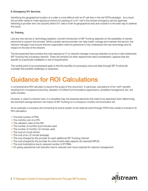#### 9. Emergency 911 Services

Identifying the geographical location of a caller is more difficult with an IP call than in the old PSTN paradigm. As a result the provider needs to make special provisions for passing on a 911 call to the closest emergency service agencies. Selecting a provider who can properly direct 911 calls in both its geographical area and outside it is the best way to address this issue.

#### 10. Training

Like any new service or technology adoption, smooth introduction of SIP Trunking depends on the availability of trained personnel to support the process. While a quality service provider can help install, manage and maintain the service, the network manager must ensure that the organization trains its personnel to fully understand the new technology and its impact on the rest of the network.

The list presented here contains the main aspects an IT or network manager must pay attention to as he or she implements SIP Trunking into a business network. There will certainly be other aspects that need consideration, aspects that are specific to a particular installation or set of requirements.

The central point to be emphasized again is that the benefits of converging voice and data through SIP Trunking far outweigh the possible challenges or expenses.

# Guidance for ROI Calculations

A comprehensive ROI calculator is beyond the scope of this document. In particular, calculations of the "soft" benefits resulting from increased productivity, adoption of Unified Communications applications, simplified management, etc. are quite complex.

However, it useful to mention here, in a simplified way, the essential elements that need to be examined when determining the dominant savings element: the impact of SIP Trunking on a company's monthly communication bill.

As an example, a company still connecting its phone system to the external world through PSTN links needs to include in its ROI calculation:

- $\rightarrow$  The total number of PRIs
- $\rightarrow$  The monthly cost of a PRI
- $\rightarrow$  The utilization rates of the PRI
- $\rightarrow$  The number of monthly local minutes used
- $\rightarrow$  The number of monthly LD minutes used
- $\rightarrow$  The cost of a local minute
- $\rightarrow$  The cost of an LD minute (average)
- $\rightarrow$  The cost charged by the provider for each additional SIP Trunking channel
- $\rightarrow$  The cost charged by the provider for units of extra data capacity (for example MPLS)
- $\rightarrow$  The cost implications due to reduced number of IP-PBXs
- $\rightarrow$  On-going operational cost reduction due to reduced man hours required for network management